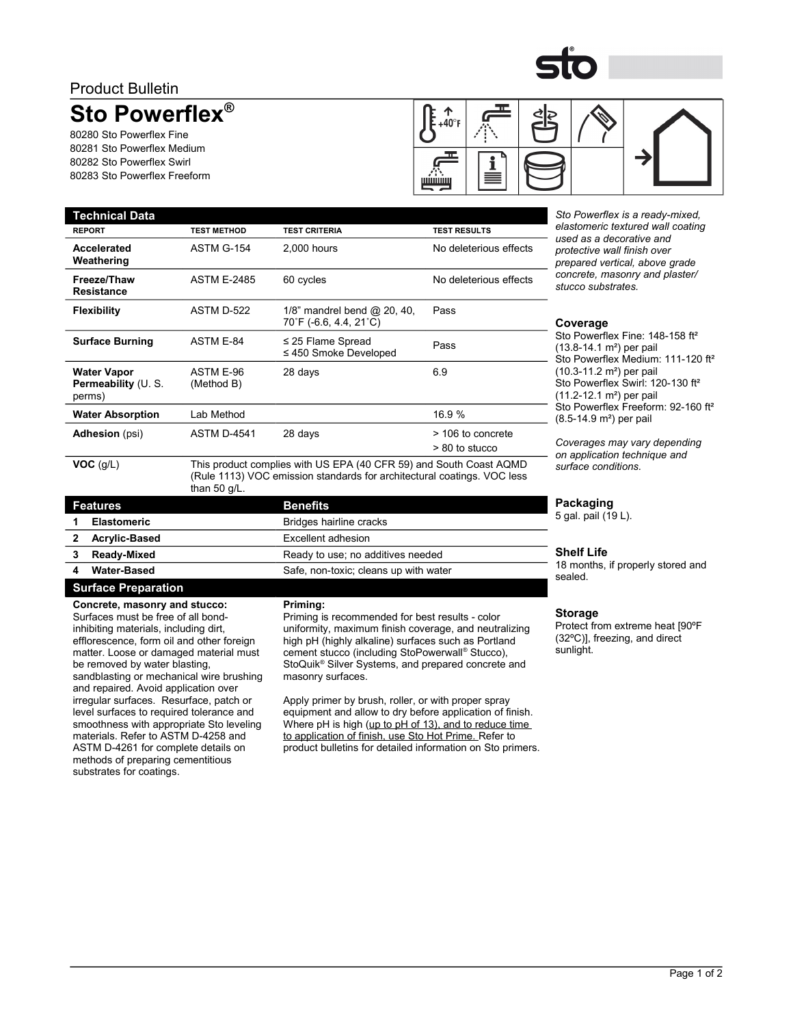## Product Bulletin

# **Sto Powerflex®**

80280 Sto Powerflex Fine 80281 Sto Powerflex Medium 80282 Sto Powerflex Swirl 80283 Sto Powerflex Freeform

**Accelerated Weathering**

**Freeze/Thaw Resistance**

**Water Vapor Permeability** (U. S.

perms)



**Technical Data** *Sto Powerflex is a ready-mixed, elastomeric textured wall coating used as a decorative and protective wall finish over prepared vertical, above grade concrete, masonry and plaster/ stucco substrates.*

#### **Coverage**

Sto Powerflex Fine: 148-158 ft<sup>2</sup> (13.8-14.1 m²) per pail Sto Powerflex Medium: 111-120 ft<sup>2</sup> (10.3-11.2 m²) per pail Sto Powerflex Swirl: 120-130 ft<sup>2</sup> (11.2-12.1 m²) per pail Sto Powerflex Freeform: 92-160 ft<sup>2</sup> (8.5-14.9 m²) per pail

*Coverages may vary depending on application technique and surface conditions.*

#### **Packaging**

5 gal. pail (19 L).

#### **Shelf Life**

18 months, if properly stored and sealed.

#### **Storage**

Protect from extreme heat [90ºF (32ºC)], freezing, and direct sunlight.

| <b>Adhesion</b> (psi)   | <b>ASTM D-4541</b>                                                                                                                                               | 28 days                 | > 106 to concrete |
|-------------------------|------------------------------------------------------------------------------------------------------------------------------------------------------------------|-------------------------|-------------------|
|                         |                                                                                                                                                                  |                         | > 80 to stucco    |
| VOC(q/L)                | This product complies with US EPA (40 CFR 59) and South Coast AQMD<br>(Rule 1113) VOC emission standards for architectural coatings. VOC less<br>than 50 $q/L$ . |                         |                   |
| <b>Features</b>         |                                                                                                                                                                  | <b>Benefits</b>         |                   |
| <b>Elastomeric</b><br>1 |                                                                                                                                                                  | Bridges hairline cracks |                   |

**Water Absorption** 16.9 %

**REPORT TEST METHOD TEST CRITERIA TEST RESULTS**

**Flexibility** ASTM D-522 1/8" mandrel bend @ 20, 40,

**Surface Burning** ASTM E-84 ≤ 25 Flame Spread

ASTM E-96 (Method B)

ASTM G-154 2,000 hours No deleterious effects

ASTM E-2485 60 cycles No deleterious effects

s zo Fiame Spread<br>≤ 450 Smoke Developed Pass

28 days 6.9

Pass

70˚F (-6.6, 4.4, 21˚C)

| <b>Elastomeric</b>   | Bridges hairline cracks               |
|----------------------|---------------------------------------|
| <b>Acrylic-Based</b> | Excellent adhesion                    |
| Ready-Mixed          | Ready to use; no additives needed     |
| <b>Water-Based</b>   | Safe, non-toxic; cleans up with water |
|                      |                                       |

## **Surface Preparation**

**Concrete, masonry and stucco:**  Surfaces must be free of all bondinhibiting materials, including dirt, efflorescence, form oil and other foreign matter. Loose or damaged material must be removed by water blasting, sandblasting or mechanical wire brushing and repaired. Avoid application over irregular surfaces. Resurface, patch or level surfaces to required tolerance and smoothness with appropriate Sto leveling materials. Refer to ASTM D-4258 and ASTM D-4261 for complete details on methods of preparing cementitious substrates for coatings.

#### **Priming:**

Priming is recommended for best results - color uniformity, maximum finish coverage, and neutralizing high pH (highly alkaline) surfaces such as Portland cement stucco (including StoPowerwall® Stucco), StoQuik® Silver Systems, and prepared concrete and masonry surfaces.

Apply primer by brush, roller, or with proper spray equipment and allow to dry before application of finish. Where pH is high (up to pH of 13), and to reduce time to application of finish, use Sto Hot Prime. Refer to product bulletins for detailed information on Sto primers.